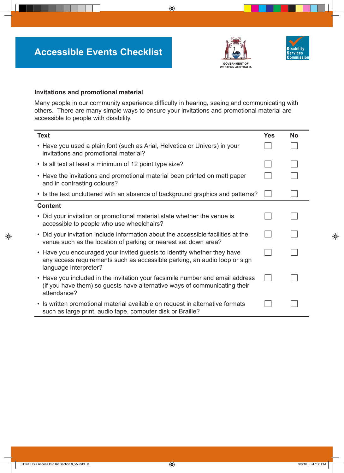



## **Invitations and promotional material**

Many people in our community experience difficulty in hearing, seeing and communicating with others. There are many simple ways to ensure your invitations and promotional material are accessible to people with disability.

| <b>Text</b>                                                                                                                                                                   | Yes | <b>No</b> |
|-------------------------------------------------------------------------------------------------------------------------------------------------------------------------------|-----|-----------|
| • Have you used a plain font (such as Arial, Helvetica or Univers) in your<br>invitations and promotional material?                                                           |     |           |
| • Is all text at least a minimum of 12 point type size?                                                                                                                       |     |           |
| • Have the invitations and promotional material been printed on matt paper<br>and in contrasting colours?                                                                     |     |           |
| • Is the text uncluttered with an absence of background graphics and patterns?                                                                                                |     |           |
| <b>Content</b>                                                                                                                                                                |     |           |
| • Did your invitation or promotional material state whether the venue is<br>accessible to people who use wheelchairs?                                                         |     |           |
| • Did your invitation include information about the accessible facilities at the<br>venue such as the location of parking or nearest set down area?                           |     |           |
| • Have you encouraged your invited guests to identify whether they have<br>any access requirements such as accessible parking, an audio loop or sign<br>language interpreter? |     |           |
| • Have you included in the invitation your facsimile number and email address<br>(if you have them) so guests have alternative ways of communicating their<br>attendance?     |     |           |
| • Is written promotional material available on request in alternative formats<br>such as large print, audio tape, computer disk or Braille?                                   |     |           |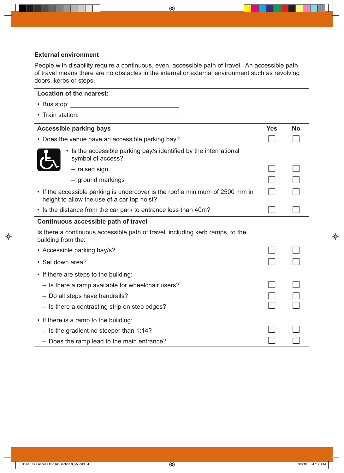# **External environment**

People with disability require a continuous, even, accessible path of travel. An accessible path of travel means there are no obstacles in the internal or external environment such as revolving doors, kerbs or steps.

# **Location of the nearest:**

| • Bus stop:<br><u> 1989 - Johann John Stone, markin film yn y brenin y brenin y brenin y brenin y brenin y brenin y brenin y br</u> |            |           |
|-------------------------------------------------------------------------------------------------------------------------------------|------------|-----------|
|                                                                                                                                     |            |           |
| <b>Accessible parking bays</b>                                                                                                      | <b>Yes</b> | <b>No</b> |
| • Does the venue have an accessible parking bay?                                                                                    |            |           |
| • Is the accessible parking bay/s identified by the international<br>symbol of access?                                              |            |           |
| - raised sign                                                                                                                       |            |           |
| - ground markings                                                                                                                   |            |           |
| • If the accessible parking is undercover is the roof a minimum of 2500 mm in<br>height to allow the use of a car top hoist?        |            |           |
| • Is the distance from the car park to entrance less than 40m?                                                                      |            |           |
| Continuous accessible path of travel                                                                                                |            |           |
| Is there a continuous accessible path of travel, including kerb ramps, to the<br>building from the:                                 |            |           |
| • Accessible parking bay/s?                                                                                                         |            |           |
| • Set down area?                                                                                                                    |            |           |
| • If there are steps to the building:                                                                                               |            |           |
| - Is there a ramp available for wheelchair users?                                                                                   |            |           |
| - Do all steps have handrails?                                                                                                      |            |           |
| - Is there a contrasting strip on step edges?                                                                                       |            |           |
| • If there is a ramp to the building:                                                                                               |            |           |
| $-$ Is the gradient no steeper than 1:14?                                                                                           |            |           |
| - Does the ramp lead to the main entrance?                                                                                          |            |           |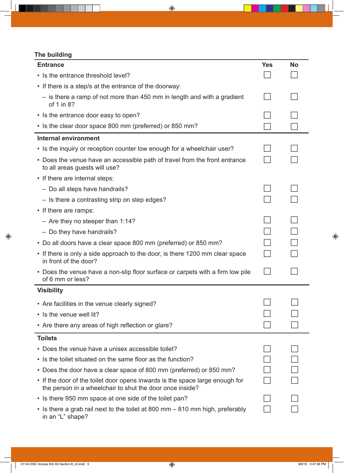# **The building**

| <b>Entrance</b>                                                                                                                          | <b>Yes</b> | <b>No</b> |
|------------------------------------------------------------------------------------------------------------------------------------------|------------|-----------|
| • Is the entrance threshold level?                                                                                                       |            |           |
| • If there is a step/s at the entrance of the doorway:                                                                                   |            |           |
| $-$ is there a ramp of not more than 450 mm in length and with a gradient<br>of 1 in 8?                                                  |            |           |
| • Is the entrance door easy to open?                                                                                                     |            |           |
| • Is the clear door space 800 mm (preferred) or 850 mm?                                                                                  |            |           |
| <b>Internal environment</b>                                                                                                              |            |           |
| • Is the inquiry or reception counter low enough for a wheelchair user?                                                                  |            |           |
| • Does the venue have an accessible path of travel from the front entrance<br>to all areas guests will use?                              |            |           |
| • If there are internal steps:                                                                                                           |            |           |
| - Do all steps have handrails?                                                                                                           |            |           |
| - Is there a contrasting strip on step edges?                                                                                            |            |           |
| • If there are ramps:                                                                                                                    |            |           |
| - Are they no steeper than $1:14?$                                                                                                       |            |           |
| - Do they have handrails?                                                                                                                |            |           |
| • Do all doors have a clear space 800 mm (preferred) or 850 mm?                                                                          |            |           |
| • If there is only a side approach to the door, is there 1200 mm clear space<br>in front of the door?                                    |            |           |
| • Does the venue have a non-slip floor surface or carpets with a firm low pile<br>of 6 mm or less?                                       |            |           |
| <b>Visibility</b>                                                                                                                        |            |           |
| • Are facilities in the venue clearly signed?                                                                                            |            |           |
| • Is the venue well lit?                                                                                                                 |            |           |
| • Are there any areas of high reflection or glare?                                                                                       |            |           |
| <b>Toilets</b>                                                                                                                           |            |           |
| • Does the venue have a unisex accessible toilet?                                                                                        |            |           |
| • Is the toilet situated on the same floor as the function?                                                                              |            |           |
| • Does the door have a clear space of 800 mm (preferred) or 850 mm?                                                                      |            |           |
| • If the door of the toilet door opens inwards is the space large enough for<br>the person in a wheelchair to shut the door once inside? |            |           |
| • Is there 950 mm space at one side of the toilet pan?                                                                                   |            |           |
| • Is there a grab rail next to the toilet at 800 mm – 810 mm high, preferably                                                            |            |           |

in an "L" shape?